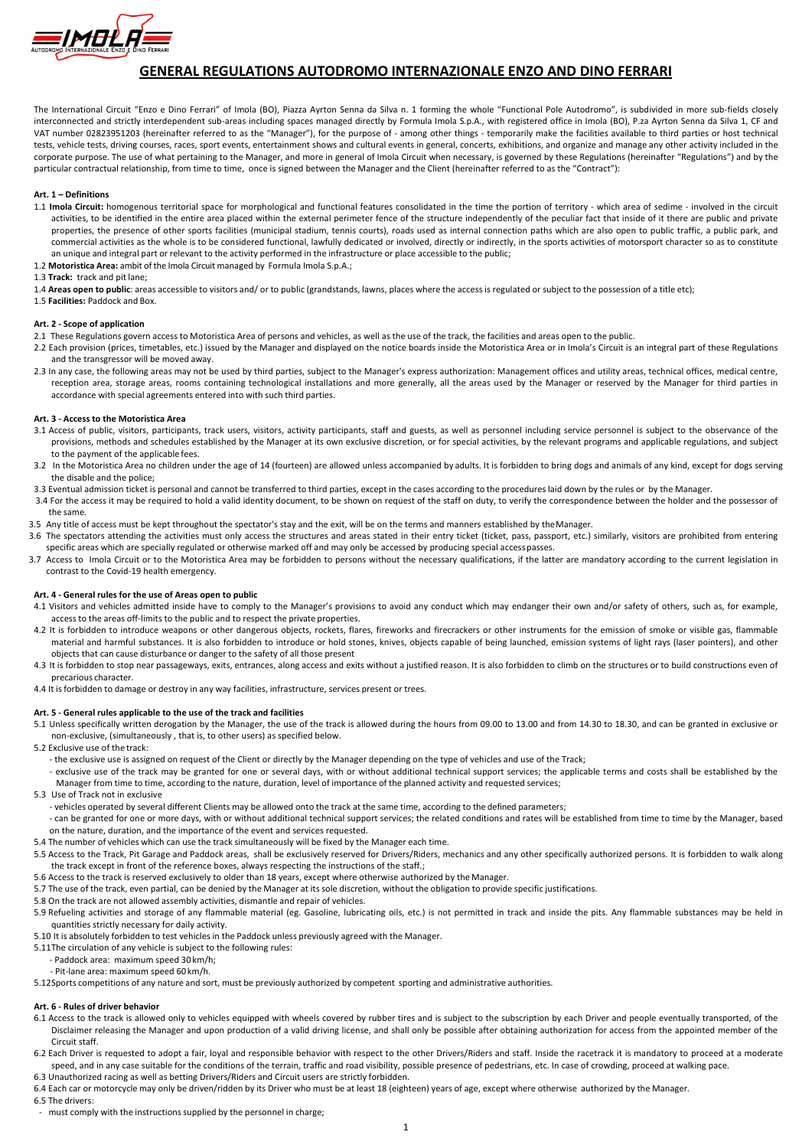

# GENERAL REGULATIONS AUTODROMO INTERNAZIONALE ENZO AND DINO FERRARI

The International Circuit "Enzo e Dino Ferrari" of Imola (BO), Piazza Ayrton Senna da Silva n. 1 forming the whole "Functional Pole Autodromo", is subdivided in more sub-fields closely interconnected and strictly interdependent sub-areas including spaces managed directly by Formula Imola S.p.A., with registered office in Imola (BO), P.za Ayrton Senna da Silva 1, CF and VAT number 02823951203 (hereinafter referred to as the "Manager"), for the purpose of - among other things - temporarily make the facilities available to third parties or host technical tests, vehicle tests, driving courses, races, sport events, entertainment shows and cultural events in general, concerts, exhibitions, and organize and manage any other activity included in the corporate purpose. The use of what pertaining to the Manager, and more in general of Imola Circuit when necessary, is governed by these Regulations (hereinafter "Regulations") and by the particular contractual relationship, from time to time, once is signed between the Manager and the Client (hereinafter referred to as the "Contract"):

## Art. 1 – Definitions

- 1.1 Imola Circuit: homogenous territorial space for morphological and functional features consolidated in the time the portion of territory which area of sedime involved in the circuit activities, to be identified in the entire area placed within the external perimeter fence of the structure independently of the peculiar fact that inside of it there are public and private properties, the presence of other sports facilities (municipal stadium, tennis courts), roads used as internal connection paths which are also open to public traffic, a public park, and commercial activities as the whole is to be considered functional, lawfully dedicated or involved, directly or indirectly, in the sports activities of motorsport character so as to constitute an unique and integral part or relevant to the activity performed in the infrastructure or place accessible to the public;
- 1.2 Motoristica Area: ambit of the Imola Circuit managed by Formula Imola S.p.A.;
- 1.3 Track: track and pit lane;
- 1.4 Areas open to public: areas accessible to visitors and/ or to public (grandstands, lawns, places where the access is regulated or subject to the possession of a title etc);
- 1.5 Facilities: Paddock and Box.

## Art. 2 - Scope of application

- 3.1 Access of public, visitors, participants, track users, visitors, activity participants, staff and guests, as well as personnel including service personnel is subject to the observance of the provisions, methods and schedules established by the Manager at its own exclusive discretion, or for special activities, by the relevant programs and applicable regulations, and subject to the payment of the applicable fees.
- 3.2 In the Motoristica Area no children under the age of 14 (fourteen) are allowed unless accompanied by adults. It is forbidden to bring dogs and animals of any kind, except for dogs serving the disable and the police;
- 3.3 Eventual admission ticket is personal and cannot be transferred to third parties, except in the cases according to the procedures laid down by the rules or by the Manager.
- 3.4 For the access it may be required to hold a valid identity document, to be shown on request of the staff on duty, to verify the correspondence between the holder and the possessor of the same.
- 3.5 Any title of access must be kept throughout the spectator's stay and the exit, will be on the terms and manners established by the Manager.
- 3.6 The spectators attending the activities must only access the structures and areas stated in their entry ticket (ticket, pass, passport, etc.) similarly, visitors are prohibited from entering specific areas which are specially regulated or otherwise marked off and may only be accessed by producing special access passes.
- 3.7 Access to Imola Circuit or to the Motoristica Area may be forbidden to persons without the necessary qualifications, if the latter are mandatory according to the current legislation in contrast to the Covid-19 health emergency.
- 2.1 These Regulations govern access to Motoristica Area of persons and vehicles, as well as the use of the track, the facilities and areas open to the public.
- 2.2 Each provision (prices, timetables, etc.) issued by the Manager and displayed on the notice boards inside the Motoristica Area or in Imola's Circuit is an integral part of these Regulations and the transgressor will be moved away.
- 2.3 In any case, the following areas may not be used by third parties, subject to the Manager's express authorization: Management offices and utility areas, technical offices, medical centre, reception area, storage areas, rooms containing technological installations and more generally, all the areas used by the Manager or reserved by the Manager for third parties in accordance with special agreements entered into with such third parties.

- 4.1 Visitors and vehicles admitted inside have to comply to the Manager's provisions to avoid any conduct which may endanger their own and/or safety of others, such as, for example, access to the areas off-limits to the public and to respect the private properties.
- 4.2 It is forbidden to introduce weapons or other dangerous objects, rockets, flares, fireworks and firecrackers or other instruments for the emission of smoke or visible gas, flammable material and harmful substances. It is also forbidden to introduce or hold stones, knives, objects capable of being launched, emission systems of light rays (laser pointers), and other objects that can cause disturbance or danger to the safety of all those present
- 4.3 It is forbidden to stop near passageways, exits, entrances, along access and exits without a justified reason. It is also forbidden to climb on the structures or to build constructions even of precarious character.
- 4.4 It is forbidden to damage or destroy in any way facilities, infrastructure, services present or trees.

#### Art. 3 - Access to the Motoristica Area

## Art. 4 - General rules for the use of Areas open to public

## Art. 5 - General rules applicable to the use of the track and facilities

- 5.1 Unless specifically written derogation by the Manager, the use of the track is allowed during the hours from 09.00 to 13.00 and from 14.30 to 18.30, and can be granted in exclusive or non-exclusive, (simultaneously , that is, to other users) as specified below.
- 5.2 Exclusive use of the track:
	- the exclusive use is assigned on request of the Client or directly by the Manager depending on the type of vehicles and use of the Track;
	- exclusive use of the track may be granted for one or several days, with or without additional technical support services; the applicable terms and costs shall be established by the Manager from time to time, according to the nature, duration, level of importance of the planned activity and requested services;

## 5.3 Use of Track not in exclusive

- vehicles operated by several different Clients may be allowed onto the track at the same time, according to the defined parameters;
- can be granted for one or more days, with or without additional technical support services; the related conditions and rates will be established from time to time by the Manager, based on the nature, duration, and the importance of the event and services requested.
- 5.4 The number of vehicles which can use the track simultaneously will be fixed by the Manager each time.
- 5.5 Access to the Track, Pit Garage and Paddock areas, shall be exclusively reserved for Drivers/Riders, mechanics and any other specifically authorized persons. It is forbidden to walk along the track except in front of the reference boxes, always respecting the instructions of the staff.;

5.6 Access to the track is reserved exclusively to older than 18 years, except where otherwise authorized by the Manager.

5.7 The use of the track, even partial, can be denied by the Manager at its sole discretion, without the obligation to provide specific justifications.

5.8 On the track are not allowed assembly activities, dismantle and repair of vehicles.

5.9 Refueling activities and storage of any flammable material (eg. Gasoline, lubricating oils, etc.) is not permitted in track and inside the pits. Any flammable substances may be held in quantities strictly necessary for daily activity.

5.10 It is absolutely forbidden to test vehicles in the Paddock unless previously agreed with the Manager.

5.11The circulation of any vehicle is subject to the following rules:

- Paddock area: maximum speed 30 km/h;

- Pit-lane area: maximum speed 60 km/h.

5.12Sports competitions of any nature and sort, must be previously authorized by competent sporting and administrative authorities.

#### Art. 6 - Rules of driver behavior

6.1 Access to the track is allowed only to vehicles equipped with wheels covered by rubber tires and is subject to the subscription by each Driver and people eventually transported, of the Disclaimer releasing the Manager and upon production of a valid driving license, and shall only be possible after obtaining authorization for access from the appointed member of the Circuit staff.

6.2 Each Driver is requested to adopt a fair, loyal and responsible behavior with respect to the other Drivers/Riders and staff. Inside the racetrack it is mandatory to proceed at a moderate speed, and in any case suitable for the conditions of the terrain, traffic and road visibility, possible presence of pedestrians, etc. In case of crowding, proceed at walking pace. 6.3 Unauthorized racing as well as betting Drivers/Riders and Circuit users are strictly forbidden.

6.4 Each car or motorcycle may only be driven/ridden by its Driver who must be at least 18 (eighteen) years of age, except where otherwise authorized by the Manager. 6.5 The drivers:

- must comply with the instructions supplied by the personnel in charge;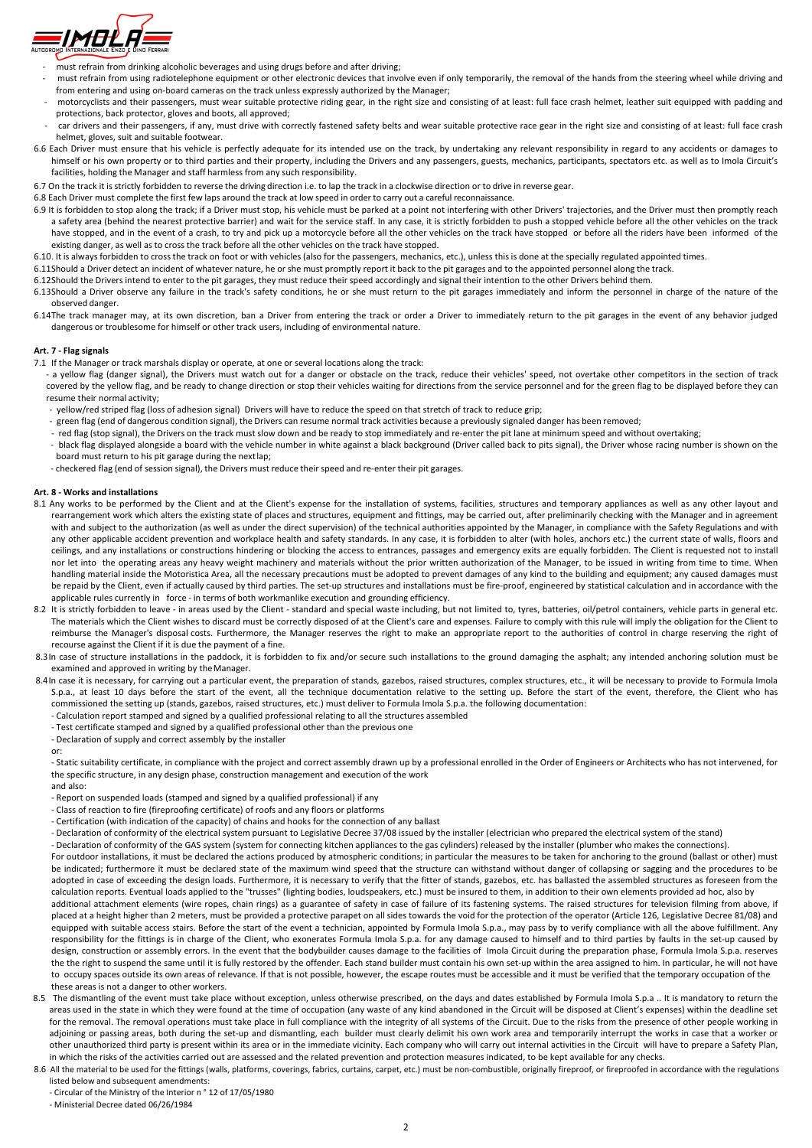

- must refrain from drinking alcoholic beverages and using drugs before and after driving;
- must refrain from using radiotelephone equipment or other electronic devices that involve even if only temporarily, the removal of the hands from the steering wheel while driving and from entering and using on-board cameras on the track unless expressly authorized by the Manager;
- motorcyclists and their passengers, must wear suitable protective riding gear, in the right size and consisting of at least: full face crash helmet, leather suit equipped with padding and protections, back protector, gloves and boots, all approved;
- car drivers and their passengers, if any, must drive with correctly fastened safety belts and wear suitable protective race gear in the right size and consisting of at least: full face crash helmet, gloves, suit and suitable footwear.
- 6.6 Each Driver must ensure that his vehicle is perfectly adequate for its intended use on the track, by undertaking any relevant responsibility in regard to any accidents or damages to himself or his own property or to third parties and their property, including the Drivers and any passengers, guests, mechanics, participants, spectators etc. as well as to Imola Circuit's facilities, holding the Manager and staff harmless from any such responsibility.
- 6.7 On the track it is strictly forbidden to reverse the driving direction i.e. to lap the track in a clockwise direction or to drive in reverse gear.
- 6.8 Each Driver must complete the first few laps around the track at low speed in order to carry out a careful reconnaissance.
- 6.9 It is forbidden to stop along the track; if a Driver must stop, his vehicle must be parked at a point not interfering with other Drivers' trajectories, and the Driver must then promptly reach a safety area (behind the nearest protective barrier) and wait for the service staff. In any case, it is strictly forbidden to push a stopped vehicle before all the other vehicles on the track have stopped, and in the event of a crash, to try and pick up a motorcycle before all the other vehicles on the track have stopped or before all the riders have been informed of the existing danger, as well as to cross the track before all the other vehicles on the track have stopped.
- 6.10. It is always forbidden to cross the track on foot or with vehicles (also for the passengers, mechanics, etc.), unless this is done at the specially regulated appointed times.
- 6.11Should a Driver detect an incident of whatever nature, he or she must promptly report it back to the pit garages and to the appointed personnel along the track.
- 6.12Should the Drivers intend to enter to the pit garages, they must reduce their speed accordingly and signal their intention to the other Drivers behind them.
- 6.13Should a Driver observe any failure in the track's safety conditions, he or she must return to the pit garages immediately and inform the personnel in charge of the nature of the observed danger.
- 6.14The track manager may, at its own discretion, ban a Driver from entering the track or order a Driver to immediately return to the pit garages in the event of any behavior judged dangerous or troublesome for himself or other track users, including of environmental nature.

## Art. 7 - Flag signals

- 8.1 Any works to be performed by the Client and at the Client's expense for the installation of systems, facilities, structures and temporary appliances as well as any other layout and rearrangement work which alters the existing state of places and structures, equipment and fittings, may be carried out, after preliminarily checking with the Manager and in agreement with and subject to the authorization (as well as under the direct supervision) of the technical authorities appointed by the Manager, in compliance with the Safety Regulations and with any other applicable accident prevention and workplace health and safety standards. In any case, it is forbidden to alter (with holes, anchors etc.) the current state of walls, floors and ceilings, and any installations or constructions hindering or blocking the access to entrances, passages and emergency exits are equally forbidden. The Client is requested not to install nor let into the operating areas any heavy weight machinery and materials without the prior written authorization of the Manager, to be issued in writing from time to time. When handling material inside the Motoristica Area, all the necessary precautions must be adopted to prevent damages of any kind to the building and equipment; any caused damages must be repaid by the Client, even if actually caused by third parties. The set-up structures and installations must be fire-proof, engineered by statistical calculation and in accordance with the applicable rules currently in force - in terms of both workmanlike execution and grounding efficiency.
- 8.2 It is strictly forbidden to leave in areas used by the Client standard and special waste including, but not limited to, tyres, batteries, oil/petrol containers, vehicle parts in general etc. The materials which the Client wishes to discard must be correctly disposed of at the Client's care and expenses. Failure to comply with this rule will imply the obligation for the Client to reimburse the Manager's disposal costs. Furthermore, the Manager reserves the right to make an appropriate report to the authorities of control in charge reserving the right of recourse against the Client if it is due the payment of a fine.
- 8.3In case of structure installations in the paddock, it is forbidden to fix and/or secure such installations to the ground damaging the asphalt; any intended anchoring solution must be examined and approved in writing by the Manager.
- 8.4In case it is necessary, for carrying out a particular event, the preparation of stands, gazebos, raised structures, complex structures, etc., it will be necessary to provide to Formula Imola S.p.a., at least 10 days before the start of the event, all the technique documentation relative to the setting up. Before the start of the event, therefore, the Client who has commissioned the setting up (stands, gazebos, raised structures, etc.) must deliver to Formula Imola S.p.a. the following documentation:
	- Calculation report stamped and signed by a qualified professional relating to all the structures assembled
	- Test certificate stamped and signed by a qualified professional other than the previous one
	- Declaration of supply and correct assembly by the installer

- Static suitability certificate, in compliance with the project and correct assembly drawn up by a professional enrolled in the Order of Engineers or Architects who has not intervened, for the specific structure, in any design phase, construction management and execution of the work
- and also: - Report on suspended loads (stamped and signed by a qualified professional) if any
- Class of reaction to fire (fireproofing certificate) of roofs and any floors or platforms
- Certification (with indication of the capacity) of chains and hooks for the connection of any ballast
- Declaration of conformity of the electrical system pursuant to Legislative Decree 37/08 issued by the installer (electrician who prepared the electrical system of the stand)
- Declaration of conformity of the GAS system (system for connecting kitchen appliances to the gas cylinders) released by the installer (plumber who makes the connections).
- For outdoor installations, it must be declared the actions produced by atmospheric conditions; in particular the measures to be taken for anchoring to the ground (ballast or other) must
- 7.1 If the Manager or track marshals display or operate, at one or several locations along the track:
- a yellow flag (danger signal), the Drivers must watch out for a danger or obstacle on the track, reduce their vehicles' speed, not overtake other competitors in the section of track covered by the yellow flag, and be ready to change direction or stop their vehicles waiting for directions from the service personnel and for the green flag to be displayed before they can resume their normal activity;
- yellow/red striped flag (loss of adhesion signal) Drivers will have to reduce the speed on that stretch of track to reduce grip;
- green flag (end of dangerous condition signal), the Drivers can resume normal track activities because a previously signaled danger has been removed;
- red flag (stop signal), the Drivers on the track must slow down and be ready to stop immediately and re-enter the pit lane at minimum speed and without overtaking;
- black flag displayed alongside a board with the vehicle number in white against a black background (Driver called back to pits signal), the Driver whose racing number is shown on the board must return to his pit garage during the next lap;
- checkered flag (end of session signal), the Drivers must reduce their speed and re-enter their pit garages.

#### Art. 8 - Works and installations

- The dismantling of the event must take place without exception, unless otherwise prescribed, on the days and dates established by Formula Imola S.p.a .. It is mandatory to return the areas used in the state in which they were found at the time of occupation (any waste of any kind abandoned in the Circuit will be disposed at Client's expenses) within the deadline set for the removal. The removal operations must take place in full compliance with the integrity of all systems of the Circuit. Due to the risks from the presence of other people working in adjoining or passing areas, both during the set-up and dismantling, each builder must clearly delimit his own work area and temporarily interrupt the works in case that a worker or other unauthorized third party is present within its area or in the immediate vicinity. Each company who will carry out internal activities in the Circuit will have to prepare a Safety Plan, in which the risks of the activities carried out are assessed and the related prevention and protection measures indicated, to be kept available for any checks.
- 8.6 All the material to be used for the fittings (walls, platforms, coverings, fabrics, curtains, carpet, etc.) must be non-combustible, originally fireproof, or fireproofed in accordance with the regulations listed below and subsequent amendments:
	- Circular of the Ministry of the Interior n ° 12 of 17/05/1980
	- Ministerial Decree dated 06/26/1984

or:

be indicated; furthermore it must be declared state of the maximum wind speed that the structure can withstand without danger of collapsing or sagging and the procedures to be adopted in case of exceeding the design loads. Furthermore, it is necessary to verify that the fitter of stands, gazebos, etc. has ballasted the assembled structures as foreseen from the calculation reports. Eventual loads applied to the "trusses" (lighting bodies, loudspeakers, etc.) must be insured to them, in addition to their own elements provided ad hoc, also by additional attachment elements (wire ropes, chain rings) as a guarantee of safety in case of failure of its fastening systems. The raised structures for television filming from above, if placed at a height higher than 2 meters, must be provided a protective parapet on all sides towards the void for the protection of the operator (Article 126, Legislative Decree 81/08) and equipped with suitable access stairs. Before the start of the event a technician, appointed by Formula Imola S.p.a., may pass by to verify compliance with all the above fulfillment. Any responsibility for the fittings is in charge of the Client, who exonerates Formula Imola S.p.a. for any damage caused to himself and to third parties by faults in the set-up caused by design, construction or assembly errors. In the event that the bodybuilder causes damage to the facilities of Imola Circuit during the preparation phase, Formula Imola S.p.a. reserves the the right to suspend the same until it is fully restored by the offender. Each stand builder must contain his own set-up within the area assigned to him. In particular, he will not have to occupy spaces outside its own areas of relevance. If that is not possible, however, the escape routes must be accessible and it must be verified that the temporary occupation of the these areas is not a danger to other workers.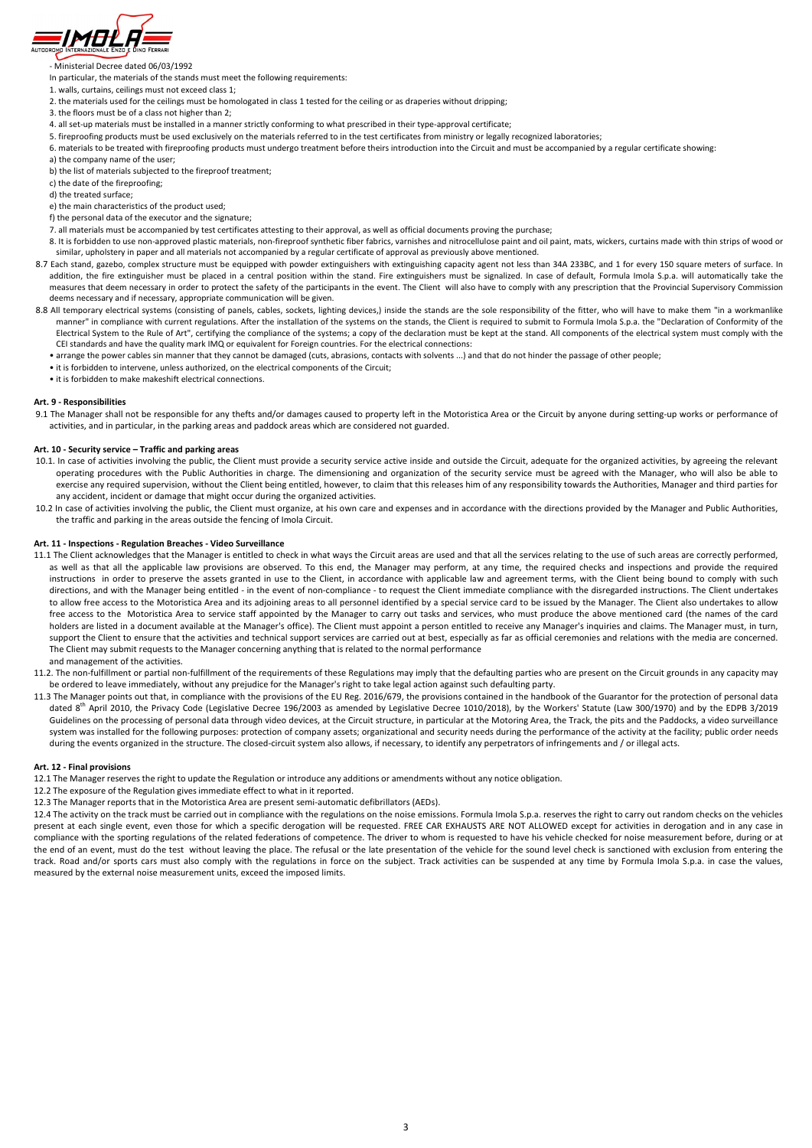

- Ministerial Decree dated 06/03/1992

In particular, the materials of the stands must meet the following requirements:

- 1. walls, curtains, ceilings must not exceed class 1;
- 2. the materials used for the ceilings must be homologated in class 1 tested for the ceiling or as draperies without dripping;
- 3. the floors must be of a class not higher than 2;
- 4. all set-up materials must be installed in a manner strictly conforming to what prescribed in their type-approval certificate;
- 5. fireproofing products must be used exclusively on the materials referred to in the test certificates from ministry or legally recognized laboratories;
- 6. materials to be treated with fireproofing products must undergo treatment before theirs introduction into the Circuit and must be accompanied by a regular certificate showing:
- a) the company name of the user;
- b) the list of materials subjected to the fireproof treatment;
- c) the date of the fireproofing;
- d) the treated surface;
- e) the main characteristics of the product used;
- f) the personal data of the executor and the signature;
- 7. all materials must be accompanied by test certificates attesting to their approval, as well as official documents proving the purchase;
- 8. It is forbidden to use non-approved plastic materials, non-fireproof synthetic fiber fabrics, varnishes and nitrocellulose paint and oil paint, mats, wickers, curtains made with thin strips of wood or similar, upholstery in paper and all materials not accompanied by a regular certificate of approval as previously above mentioned.
- 8.7 Each stand, gazebo, complex structure must be equipped with powder extinguishers with extinguishing capacity agent not less than 34A 233BC, and 1 for every 150 square meters of surface. In addition, the fire extinguisher must be placed in a central position within the stand. Fire extinguishers must be signalized. In case of default, Formula Imola S.p.a. will automatically take the measures that deem necessary in order to protect the safety of the participants in the event. The Client will also have to comply with any prescription that the Provincial Supervisory Commission deems necessary and if necessary, appropriate communication will be given.
- 8.8 All temporary electrical systems (consisting of panels, cables, sockets, lighting devices,) inside the stands are the sole responsibility of the fitter, who will have to make them "in a workmanlike manner" in compliance with current regulations. After the installation of the systems on the stands, the Client is required to submit to Formula Imola S.p.a. the "Declaration of Conformity of the Electrical System to the Rule of Art", certifying the compliance of the systems; a copy of the declaration must be kept at the stand. All components of the electrical system must comply with the CEI standards and have the quality mark IMQ or equivalent for Foreign countries. For the electrical connections:
	- arrange the power cables sin manner that they cannot be damaged (cuts, abrasions, contacts with solvents ...) and that do not hinder the passage of other people;
	- it is forbidden to intervene, unless authorized, on the electrical components of the Circuit;
	- it is forbidden to make makeshift electrical connections.

9.1 The Manager shall not be responsible for any thefts and/or damages caused to property left in the Motoristica Area or the Circuit by anyone during setting-up works or performance of activities, and in particular, in the parking areas and paddock areas which are considered not guarded.

- 10.1. In case of activities involving the public, the Client must provide a security service active inside and outside the Circuit, adequate for the organized activities, by agreeing the relevant operating procedures with the Public Authorities in charge. The dimensioning and organization of the security service must be agreed with the Manager, who will also be able to exercise any required supervision, without the Client being entitled, however, to claim that this releases him of any responsibility towards the Authorities, Manager and third parties for any accident, incident or damage that might occur during the organized activities.
- 10.2 In case of activities involving the public, the Client must organize, at his own care and expenses and in accordance with the directions provided by the Manager and Public Authorities, the traffic and parking in the areas outside the fencing of Imola Circuit.

#### Art. 9 - Responsibilities

#### Art. 10 - Security service – Traffic and parking areas

12.4 The activity on the track must be carried out in compliance with the regulations on the noise emissions. Formula Imola S.p.a. reserves the right to carry out random checks on the vehicles present at each single event, even those for which a specific derogation will be requested. FREE CAR EXHAUSTS ARE NOT ALLOWED except for activities in derogation and in any case in compliance with the sporting regulations of the related federations of competence. The driver to whom is requested to have his vehicle checked for noise measurement before, during or at the end of an event, must do the test without leaving the place. The refusal or the late presentation of the vehicle for the sound level check is sanctioned with exclusion from entering the track. Road and/or sports cars must also comply with the regulations in force on the subject. Track activities can be suspended at any time by Formula Imola S.p.a. in case the values,

## Art. 11 - Inspections - Regulation Breaches - Video Surveillance

- 11.1 The Client acknowledges that the Manager is entitled to check in what ways the Circuit areas are used and that all the services relating to the use of such areas are correctly performed, as well as that all the applicable law provisions are observed. To this end, the Manager may perform, at any time, the required checks and inspections and provide the required instructions in order to preserve the assets granted in use to the Client, in accordance with applicable law and agreement terms, with the Client being bound to comply with such directions, and with the Manager being entitled - in the event of non-compliance - to request the Client immediate compliance with the disregarded instructions. The Client undertakes to allow free access to the Motoristica Area and its adjoining areas to all personnel identified by a special service card to be issued by the Manager. The Client also undertakes to allow free access to the Motoristica Area to service staff appointed by the Manager to carry out tasks and services, who must produce the above mentioned card (the names of the card holders are listed in a document available at the Manager's office). The Client must appoint a person entitled to receive any Manager's inquiries and claims. The Manager must, in turn, support the Client to ensure that the activities and technical support services are carried out at best, especially as far as official ceremonies and relations with the media are concerned. The Client may submit requests to the Manager concerning anything that is related to the normal performance and management of the activities.
- 11.2. The non-fulfillment or partial non-fulfillment of the requirements of these Regulations may imply that the defaulting parties who are present on the Circuit grounds in any capacity may be ordered to leave immediately, without any prejudice for the Manager's right to take legal action against such defaulting party.
- 11.3 The Manager points out that, in compliance with the provisions of the EU Reg. 2016/679, the provisions contained in the handbook of the Guarantor for the protection of personal data dated 8<sup>th</sup> April 2010, the Privacy Code (Legislative Decree 196/2003 as amended by Legislative Decree 1010/2018), by the Workers' Statute (Law 300/1970) and by the EDPB 3/2019 Guidelines on the processing of personal data through video devices, at the Circuit structure, in particular at the Motoring Area, the Track, the pits and the Paddocks, a video surveillance system was installed for the following purposes: protection of company assets; organizational and security needs during the performance of the activity at the facility; public order needs during the events organized in the structure. The closed-circuit system also allows, if necessary, to identify any perpetrators of infringements and / or illegal acts.

## Art. 12 - Final provisions

- 12.1 The Manager reserves the right to update the Regulation or introduce any additions or amendments without any notice obligation.
- 12.2 The exposure of the Regulation gives immediate effect to what in it reported.
- 12.3 The Manager reports that in the Motoristica Area are present semi-automatic defibrillators (AEDs).

measured by the external noise measurement units, exceed the imposed limits.